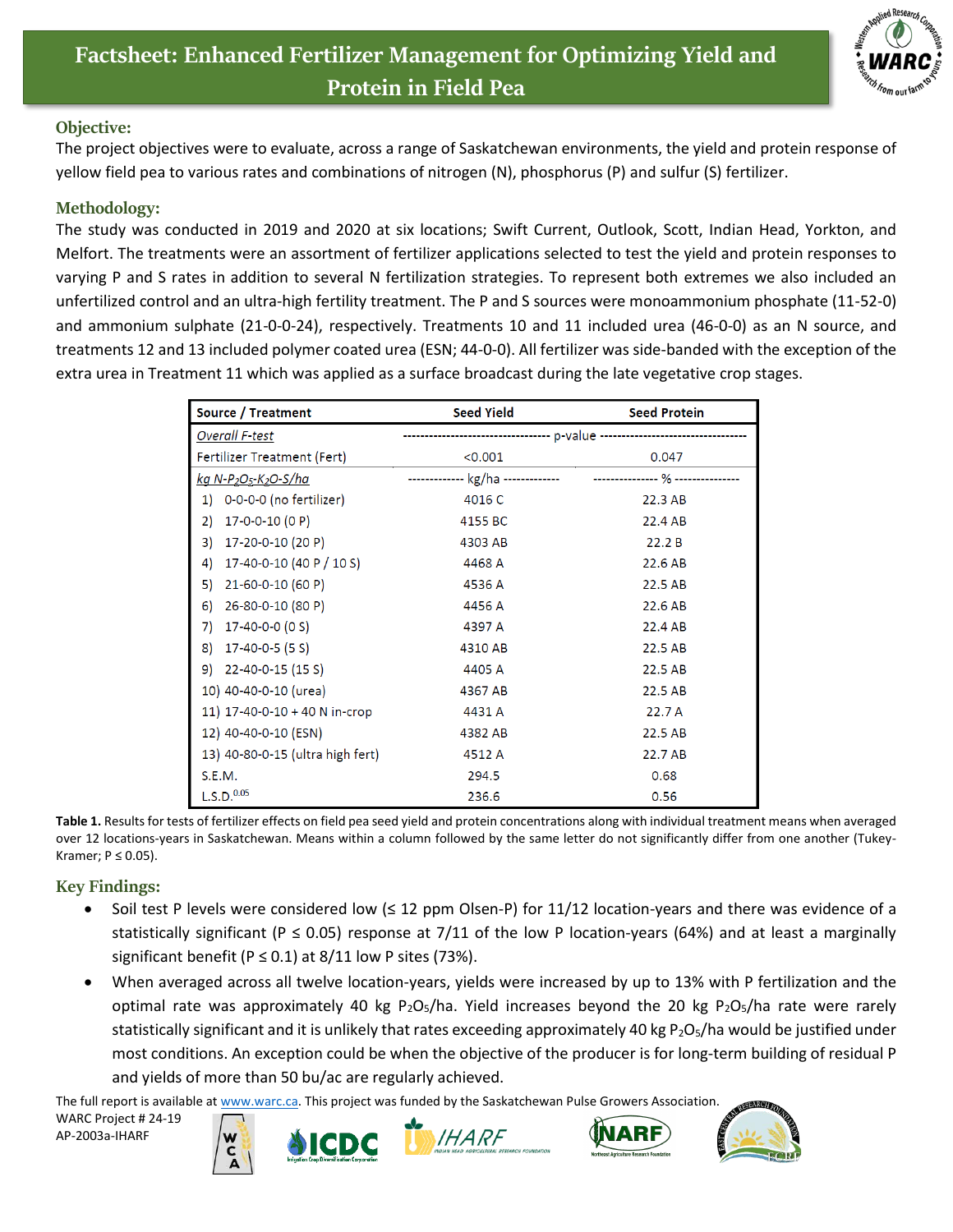

## **Objective:**

The project objectives were to evaluate, across a range of Saskatchewan environments, the yield and protein response of yellow field pea to various rates and combinations of nitrogen (N), phosphorus (P) and sulfur (S) fertilizer.

## **Methodology:**

The study was conducted in 2019 and 2020 at six locations; Swift Current, Outlook, Scott, Indian Head, Yorkton, and Melfort. The treatments were an assortment of fertilizer applications selected to test the yield and protein responses to varying P and S rates in addition to several N fertilization strategies. To represent both extremes we also included an unfertilized control and an ultra-high fertility treatment. The P and S sources were monoammonium phosphate (11-52-0) and ammonium sulphate (21-0-0-24), respectively. Treatments 10 and 11 included urea (46-0-0) as an N source, and treatments 12 and 13 included polymer coated urea (ESN; 44-0-0). All fertilizer was side-banded with the exception of the extra urea in Treatment 11 which was applied as a surface broadcast during the late vegetative crop stages.

| Source / Treatment               | <b>Seed Yield</b>                 | <b>Seed Protein</b>              |
|----------------------------------|-----------------------------------|----------------------------------|
| <b>Overall F-test</b>            |                                   |                                  |
| Fertilizer Treatment (Fert)      | < 0.001                           | 0.047                            |
| <u>kg N-P2O5-K2O-S/ha</u>        | ------------- kg/ha ------------- | --------------- % -------------- |
| 1) 0-0-0-0 (no fertilizer)       | 4016 C                            | 22.3 AB                          |
| 17-0-0-10 (0 P)<br>2)            | 4155 BC                           | 22.4 AB                          |
| 17-20-0-10 (20 P)<br>3)          | 4303 AB                           | 22.2B                            |
| 17-40-0-10 (40 P / 10 S)<br>4)   | 4468 A                            | 22.6 AB                          |
| 21-60-0-10 (60 P)<br>5)          | 4536 A                            | 22.5 AB                          |
| 26-80-0-10 (80 P)<br>6)          | 4456 A                            | 22.6 AB                          |
| $17 - 40 - 0 - 0$ (0 S)<br>7)    | 4397 A                            | 22.4 AB                          |
| 17-40-0-5 (5 S)<br>8)            | 4310 AB                           | 22.5 AB                          |
| $9)$ 22-40-0-15 (15 S)           | 4405 A                            | 22.5 AB                          |
| 10) 40-40-0-10 (urea)            | 4367 AB                           | 22.5 AB                          |
| 11) 17-40-0-10 + 40 N in-crop    | 4431 A                            | 22.7 A                           |
| 12) 40-40-0-10 (ESN)             | 4382 AB                           | 22.5 AB                          |
| 13) 40-80-0-15 (ultra high fert) | 4512 A                            | 22.7 AB                          |
| S.E.M.                           | 294.5                             | 0.68                             |
| L.S.D. <sup>0.05</sup>           | 236.6                             | 0.56                             |

**Table 1.** Results for tests of fertilizer effects on field pea seed yield and protein concentrations along with individual treatment means when averaged over 12 locations-years in Saskatchewan. Means within a column followed by the same letter do not significantly differ from one another (Tukey-Kramer;  $P \leq 0.05$ ).

## **Key Findings:**

- Soil test P levels were considered low ( $\leq$  12 ppm Olsen-P) for 11/12 location-years and there was evidence of a statistically significant (P  $\leq$  0.05) response at 7/11 of the low P location-years (64%) and at least a marginally significant benefit ( $P \le 0.1$ ) at 8/11 low P sites (73%).
- When averaged across all twelve location-years, yields were increased by up to 13% with P fertilization and the optimal rate was approximately 40 kg P<sub>2</sub>O<sub>5</sub>/ha. Yield increases beyond the 20 kg P<sub>2</sub>O<sub>5</sub>/ha rate were rarely statistically significant and it is unlikely that rates exceeding approximately 40 kg  $P_2O_5/h$ a would be justified under most conditions. An exception could be when the objective of the producer is for long-term building of residual P and yields of more than 50 bu/ac are regularly achieved.

The full report is available at [www.warc.ca.](http://www.warc.ca/) This project was funded by the Saskatchewan Pulse Growers Association.

WARC Project # 24-19 AP-2003a-IHARF